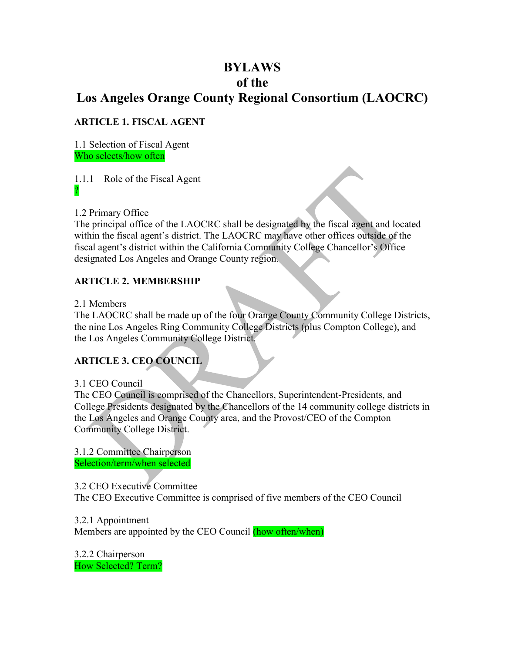# **BYLAWS of the Los Angeles Orange County Regional Consortium (LAOCRC)**

**ARTICLE 1. FISCAL AGENT**

1.1 Selection of Fiscal Agent Who selects/how often

1.1.1 Role of the Fiscal Agent ?

1.2 Primary Office

The principal office of the LAOCRC shall be designated by the fiscal agent and located within the fiscal agent's district. The LAOCRC may have other offices outside of the fiscal agent's district within the California Community College Chancellor's Office designated Los Angeles and Orange County region.

# **ARTICLE 2. MEMBERSHIP**

2.1 Members

The LAOCRC shall be made up of the four Orange County Community College Districts, the nine Los Angeles Ring Community College Districts (plus Compton College), and the Los Angeles Community College District.

# **ARTICLE 3. CEO COUNCIL**

# 3.1 CEO Council

The CEO Council is comprised of the Chancellors, Superintendent-Presidents, and College Presidents designated by the Chancellors of the 14 community college districts in the Los Angeles and Orange County area, and the Provost/CEO of the Compton Community College District.

3.1.2 Committee Chairperson Selection/term/when selected

3.2 CEO Executive Committee

The CEO Executive Committee is comprised of five members of the CEO Council

3.2.1 Appointment Members are appointed by the CEO Council (how often/when)

3.2.2 Chairperson How Selected? Term?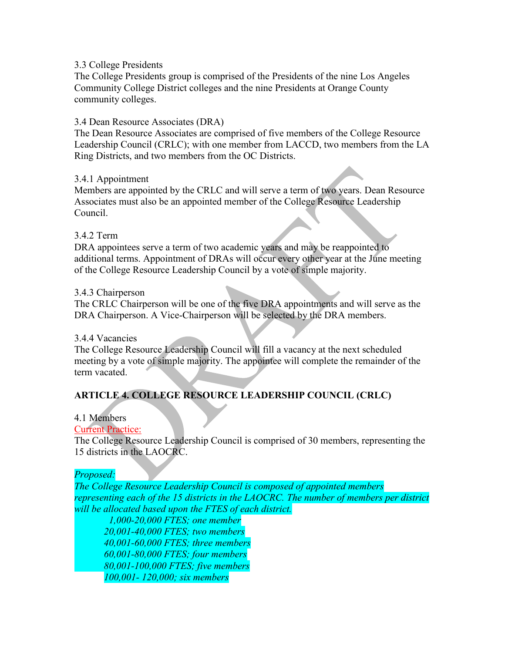#### 3.3 College Presidents

The College Presidents group is comprised of the Presidents of the nine Los Angeles Community College District colleges and the nine Presidents at Orange County community colleges.

#### 3.4 Dean Resource Associates (DRA)

The Dean Resource Associates are comprised of five members of the College Resource Leadership Council (CRLC); with one member from LACCD, two members from the LA Ring Districts, and two members from the OC Districts.

#### 3.4.1 Appointment

Members are appointed by the CRLC and will serve a term of two years. Dean Resource Associates must also be an appointed member of the College Resource Leadership Council.

#### 3.4.2 Term

DRA appointees serve a term of two academic years and may be reappointed to additional terms. Appointment of DRAs will occur every other year at the June meeting of the College Resource Leadership Council by a vote of simple majority.

#### 3.4.3 Chairperson

The CRLC Chairperson will be one of the five DRA appointments and will serve as the DRA Chairperson. A Vice-Chairperson will be selected by the DRA members.

#### 3.4.4 Vacancies

The College Resource Leadership Council will fill a vacancy at the next scheduled meeting by a vote of simple majority. The appointee will complete the remainder of the term vacated.

# **ARTICLE 4. COLLEGE RESOURCE LEADERSHIP COUNCIL (CRLC)**

## 4.1 Members

#### Current Practice:

The College Resource Leadership Council is comprised of 30 members, representing the 15 districts in the LAOCRC.

#### *Proposed:*

*The College Resource Leadership Council is composed of appointed members representing each of the 15 districts in the LAOCRC. The number of members per district will be allocated based upon the FTES of each district.*

 *1,000-20,000 FTES; one member 20,001-40,000 FTES; two members 40,001-60,000 FTES; three members 60,001-80,000 FTES; four members 80,001-100,000 FTES; five members 100,001- 120,000; six members*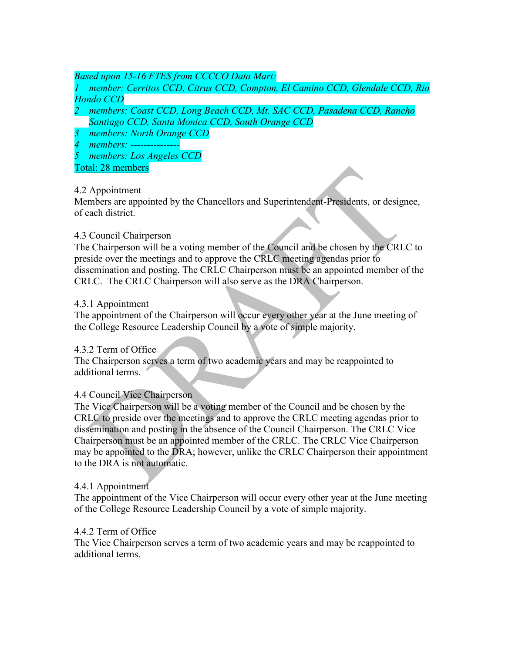## *Based upon 15-16 FTES from CCCCO Data Mart:*

*1 member: Cerritos CCD, Citrus CCD, Compton, El Camino CCD, Glendale CCD, Rio Hondo CCD*

- *2 members: Coast CCD, Long Beach CCD, Mt. SAC CCD, Pasadena CCD, Rancho Santiago CCD, Santa Monica CCD, South Orange CCD*
- *3 members: North Orange CCD*
- *4 members: ---------------*
- *5 members: Los Angeles CCD*

Total: 28 members

## 4.2 Appointment

Members are appointed by the Chancellors and Superintendent-Presidents, or designee, of each district.

## 4.3 Council Chairperson

The Chairperson will be a voting member of the Council and be chosen by the CRLC to preside over the meetings and to approve the CRLC meeting agendas prior to dissemination and posting. The CRLC Chairperson must be an appointed member of the CRLC. The CRLC Chairperson will also serve as the DRA Chairperson.

## 4.3.1 Appointment

The appointment of the Chairperson will occur every other year at the June meeting of the College Resource Leadership Council by a vote of simple majority.

## 4.3.2 Term of Office

The Chairperson serves a term of two academic years and may be reappointed to additional terms.

# 4.4 Council Vice Chairperson

The Vice Chairperson will be a voting member of the Council and be chosen by the CRLC to preside over the meetings and to approve the CRLC meeting agendas prior to dissemination and posting in the absence of the Council Chairperson. The CRLC Vice Chairperson must be an appointed member of the CRLC. The CRLC Vice Chairperson may be appointed to the DRA; however, unlike the CRLC Chairperson their appointment to the DRA is not automatic.

## 4.4.1 Appointment

The appointment of the Vice Chairperson will occur every other year at the June meeting of the College Resource Leadership Council by a vote of simple majority.

## 4.4.2 Term of Office

The Vice Chairperson serves a term of two academic years and may be reappointed to additional terms.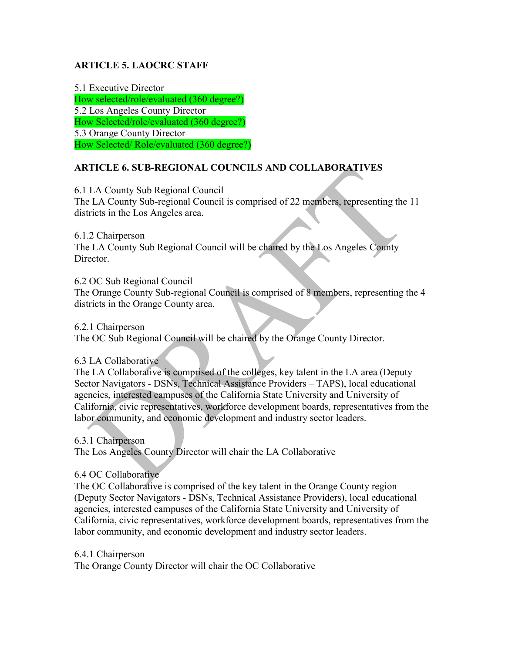## **ARTICLE 5. LAOCRC STAFF**

5.1 Executive Director How selected/role/evaluated (360 degree?) 5.2 Los Angeles County Director How Selected/role/evaluated (360 degree?) 5.3 Orange County Director How Selected/ Role/evaluated (360 degree?)

## **ARTICLE 6. SUB-REGIONAL COUNCILS AND COLLABORATIVES**

6.1 LA County Sub Regional Council The LA County Sub-regional Council is comprised of 22 members, representing the 11 districts in the Los Angeles area.

6.1.2 Chairperson The LA County Sub Regional Council will be chaired by the Los Angeles County Director.

6.2 OC Sub Regional Council

The Orange County Sub-regional Council is comprised of 8 members, representing the 4 districts in the Orange County area.

6.2.1 Chairperson The OC Sub Regional Council will be chaired by the Orange County Director.

6.3 LA Collaborative

The LA Collaborative is comprised of the colleges, key talent in the LA area (Deputy Sector Navigators - DSNs, Technical Assistance Providers – TAPS), local educational agencies, interested campuses of the California State University and University of California, civic representatives, workforce development boards, representatives from the labor community, and economic development and industry sector leaders.

6.3.1 Chairperson The Los Angeles County Director will chair the LA Collaborative

6.4 OC Collaborative

The OC Collaborative is comprised of the key talent in the Orange County region (Deputy Sector Navigators - DSNs, Technical Assistance Providers), local educational agencies, interested campuses of the California State University and University of California, civic representatives, workforce development boards, representatives from the labor community, and economic development and industry sector leaders.

6.4.1 Chairperson The Orange County Director will chair the OC Collaborative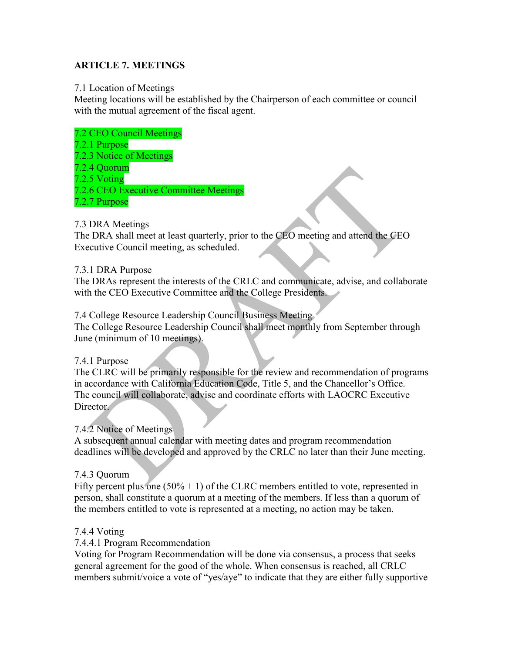## **ARTICLE 7. MEETINGS**

#### 7.1 Location of Meetings

Meeting locations will be established by the Chairperson of each committee or council with the mutual agreement of the fiscal agent.

#### 7.2 CEO Council Meetings

- 7.2.1 Purpose
- 7.2.3 Notice of Meetings
- 7.2.4 Quorum
- 7.2.5 Voting

7.2.6 CEO Executive Committee Meetings

7.2.7 Purpose

## 7.3 DRA Meetings

The DRA shall meet at least quarterly, prior to the CEO meeting and attend the CEO Executive Council meeting, as scheduled.

## 7.3.1 DRA Purpose

The DRAs represent the interests of the CRLC and communicate, advise, and collaborate with the CEO Executive Committee and the College Presidents.

7.4 College Resource Leadership Council Business Meeting

The College Resource Leadership Council shall meet monthly from September through June (minimum of 10 meetings).

## 7.4.1 Purpose

The CLRC will be primarily responsible for the review and recommendation of programs in accordance with California Education Code, Title 5, and the Chancellor's Office. The council will collaborate, advise and coordinate efforts with LAOCRC Executive Director.

## 7.4.2 Notice of Meetings

A subsequent annual calendar with meeting dates and program recommendation deadlines will be developed and approved by the CRLC no later than their June meeting.

## 7.4.3 Quorum

Fifty percent plus one  $(50\% + 1)$  of the CLRC members entitled to vote, represented in person, shall constitute a quorum at a meeting of the members. If less than a quorum of the members entitled to vote is represented at a meeting, no action may be taken.

## 7.4.4 Voting

7.4.4.1 Program Recommendation

Voting for Program Recommendation will be done via consensus, a process that seeks general agreement for the good of the whole. When consensus is reached, all CRLC members submit/voice a vote of "yes/aye" to indicate that they are either fully supportive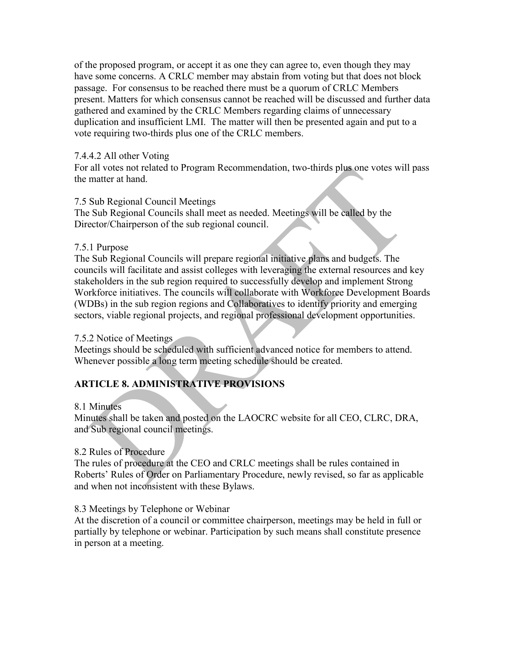of the proposed program, or accept it as one they can agree to, even though they may have some concerns. A CRLC member may abstain from voting but that does not block passage. For consensus to be reached there must be a quorum of CRLC Members present. Matters for which consensus cannot be reached will be discussed and further data gathered and examined by the CRLC Members regarding claims of unnecessary duplication and insufficient LMI. The matter will then be presented again and put to a vote requiring two-thirds plus one of the CRLC members.

## 7.4.4.2 All other Voting

For all votes not related to Program Recommendation, two-thirds plus one votes will pass the matter at hand.

## 7.5 Sub Regional Council Meetings

The Sub Regional Councils shall meet as needed. Meetings will be called by the Director/Chairperson of the sub regional council.

## 7.5.1 Purpose

The Sub Regional Councils will prepare regional initiative plans and budgets. The councils will facilitate and assist colleges with leveraging the external resources and key stakeholders in the sub region required to successfully develop and implement Strong Workforce initiatives. The councils will collaborate with Workforce Development Boards (WDBs) in the sub region regions and Collaboratives to identify priority and emerging sectors, viable regional projects, and regional professional development opportunities.

## 7.5.2 Notice of Meetings

Meetings should be scheduled with sufficient advanced notice for members to attend. Whenever possible a long term meeting schedule should be created.

# **ARTICLE 8. ADMINISTRATIVE PROVISIONS**

# 8.1 Minutes

Minutes shall be taken and posted on the LAOCRC website for all CEO, CLRC, DRA, and Sub regional council meetings.

# 8.2 Rules of Procedure

The rules of procedure at the CEO and CRLC meetings shall be rules contained in Roberts' Rules of Order on Parliamentary Procedure, newly revised, so far as applicable and when not inconsistent with these Bylaws.

# 8.3 Meetings by Telephone or Webinar

At the discretion of a council or committee chairperson, meetings may be held in full or partially by telephone or webinar. Participation by such means shall constitute presence in person at a meeting.